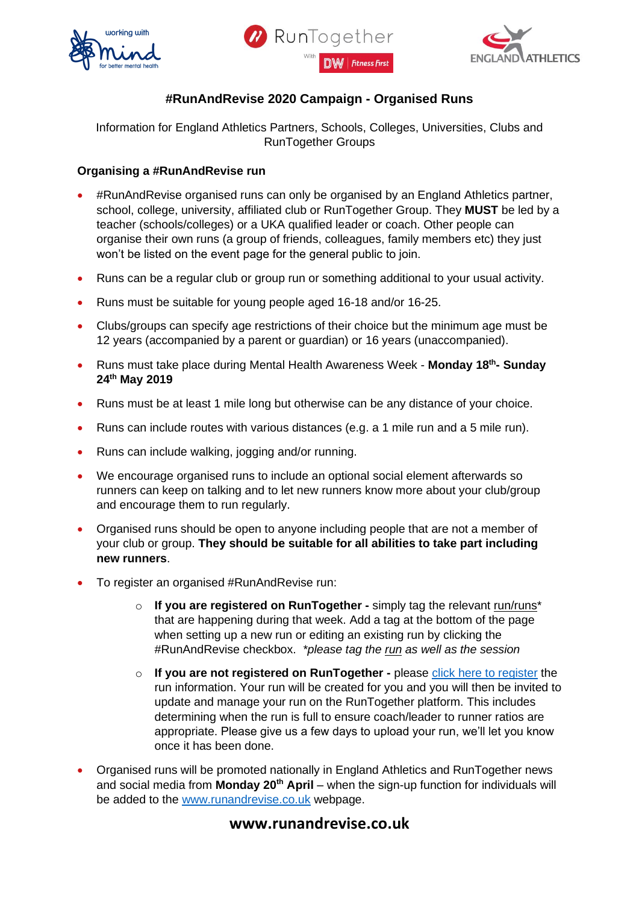





## **#RunAndRevise 2020 Campaign - Organised Runs**

Information for England Athletics Partners, Schools, Colleges, Universities, Clubs and RunTogether Groups

## **Organising a #RunAndRevise run**

- #RunAndRevise organised runs can only be organised by an England Athletics partner, school, college, university, affiliated club or RunTogether Group. They **MUST** be led by a teacher (schools/colleges) or a UKA qualified leader or coach. Other people can organise their own runs (a group of friends, colleagues, family members etc) they just won't be listed on the event page for the general public to join.
- Runs can be a regular club or group run or something additional to your usual activity.
- Runs must be suitable for young people aged 16-18 and/or 16-25.
- Clubs/groups can specify age restrictions of their choice but the minimum age must be 12 years (accompanied by a parent or guardian) or 16 years (unaccompanied).
- Runs must take place during Mental Health Awareness Week **Monday 18 th - Sunday 24th May 2019**
- Runs must be at least 1 mile long but otherwise can be any distance of your choice.
- Runs can include routes with various distances (e.g. a 1 mile run and a 5 mile run).
- Runs can include walking, jogging and/or running.
- We encourage organised runs to include an optional social element afterwards so runners can keep on talking and to let new runners know more about your club/group and encourage them to run regularly.
- Organised runs should be open to anyone including people that are not a member of your club or group. **They should be suitable for all abilities to take part including new runners**.
- To register an organised #RunAndRevise run:
	- o **If you are registered on RunTogether -** simply tag the relevant run/runs\* that are happening during that week. Add a tag at the bottom of the page when setting up a new run or editing an existing run by clicking the #RunAndRevise checkbox. *\*please tag the run as well as the session*
	- o **If you are not registered on RunTogether -** please [click here to register](https://www.surveymonkey.co.uk/r/RunAndRevise) the run information. Your run will be created for you and you will then be invited to update and manage your run on the RunTogether platform. This includes determining when the run is full to ensure coach/leader to runner ratios are appropriate. Please give us a few days to upload your run, we'll let you know once it has been done.
- Organised runs will be promoted nationally in England Athletics and RunTogether news and social media from **Monday 20th April** – when the sign-up function for individuals will be added to the [www.runandrevise.co.uk](http://www.runandrevise.co.uk/) webpage.

## **www.runandrevise.co.uk**